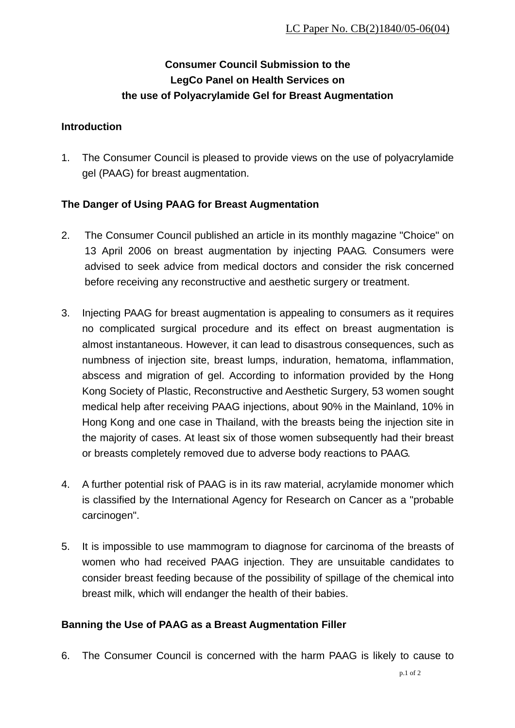# **Consumer Council Submission to the LegCo Panel on Health Services on the use of Polyacrylamide Gel for Breast Augmentation**

#### **Introduction**

1. The Consumer Council is pleased to provide views on the use of polyacrylamide gel (PAAG) for breast augmentation.

### **The Danger of Using PAAG for Breast Augmentation**

- 2. The Consumer Council published an article in its monthly magazine "Choice" on 13 April 2006 on breast augmentation by injecting PAAG. Consumers were advised to seek advice from medical doctors and consider the risk concerned before receiving any reconstructive and aesthetic surgery or treatment.
- 3. Injecting PAAG for breast augmentation is appealing to consumers as it requires no complicated surgical procedure and its effect on breast augmentation is almost instantaneous. However, it can lead to disastrous consequences, such as numbness of injection site, breast lumps, induration, hematoma, inflammation, abscess and migration of gel. According to information provided by the Hong Kong Society of Plastic, Reconstructive and Aesthetic Surgery, 53 women sought medical help after receiving PAAG injections, about 90% in the Mainland, 10% in Hong Kong and one case in Thailand, with the breasts being the injection site in the majority of cases. At least six of those women subsequently had their breast or breasts completely removed due to adverse body reactions to PAAG.
- 4. A further potential risk of PAAG is in its raw material, acrylamide monomer which is classified by the International Agency for Research on Cancer as a "probable carcinogen".
- 5. It is impossible to use mammogram to diagnose for carcinoma of the breasts of women who had received PAAG injection. They are unsuitable candidates to consider breast feeding because of the possibility of spillage of the chemical into breast milk, which will endanger the health of their babies.

### **Banning the Use of PAAG as a Breast Augmentation Filler**

6. The Consumer Council is concerned with the harm PAAG is likely to cause to